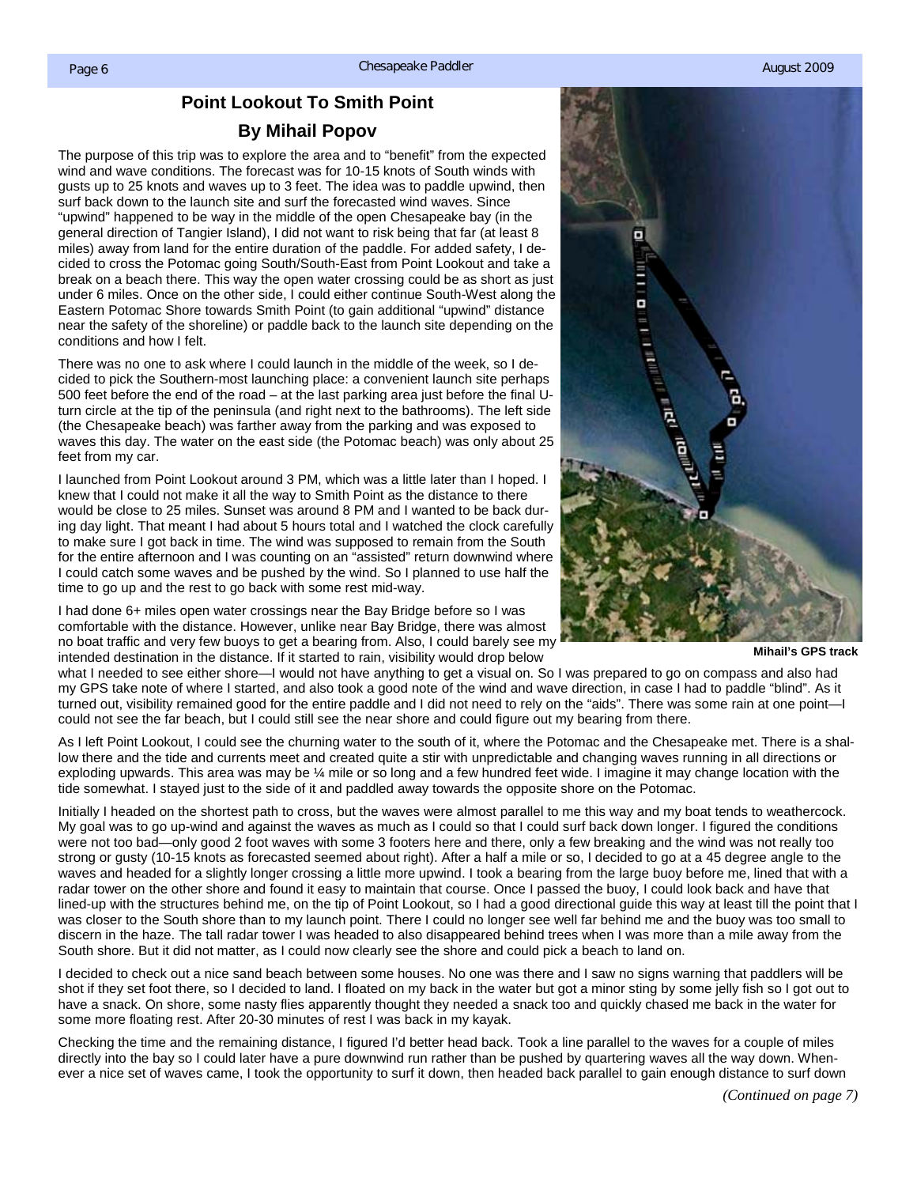## **Point Lookout To Smith Point**

## **By Mihail Popov**

<span id="page-0-0"></span>The purpose of this trip was to explore the area and to "benefit" from the expected wind and wave conditions. The forecast was for 10-15 knots of South winds with gusts up to 25 knots and waves up to 3 feet. The idea was to paddle upwind, then surf back down to the launch site and surf the forecasted wind waves. Since "upwind" happened to be way in the middle of the open Chesapeake bay (in the general direction of Tangier Island), I did not want to risk being that far (at least 8 miles) away from land for the entire duration of the paddle. For added safety, I decided to cross the Potomac going South/South-East from Point Lookout and take a break on a beach there. This way the open water crossing could be as short as just under 6 miles. Once on the other side, I could either continue South-West along the Eastern Potomac Shore towards Smith Point (to gain additional "upwind" distance near the safety of the shoreline) or paddle back to the launch site depending on the conditions and how I felt.

There was no one to ask where I could launch in the middle of the week, so I decided to pick the Southern-most launching place: a convenient launch site perhaps 500 feet before the end of the road – at the last parking area just before the final Uturn circle at the tip of the peninsula (and right next to the bathrooms). The left side (the Chesapeake beach) was farther away from the parking and was exposed to waves this day. The water on the east side (the Potomac beach) was only about 25 feet from my car.

I launched from Point Lookout around 3 PM, which was a little later than I hoped. I knew that I could not make it all the way to Smith Point as the distance to there would be close to 25 miles. Sunset was around 8 PM and I wanted to be back during day light. That meant I had about 5 hours total and I watched the clock carefully to make sure I got back in time. The wind was supposed to remain from the South for the entire afternoon and I was counting on an "assisted" return downwind where I could catch some waves and be pushed by the wind. So I planned to use half the time to go up and the rest to go back with some rest mid-way.

I had done 6+ miles open water crossings near the Bay Bridge before so I was comfortable with the distance. However, unlike near Bay Bridge, there was almost no boat traffic and very few buoys to get a bearing from. Also, I could barely see my intended destination in the distance. If it started to rain, visibility would drop below



**Mihail's GPS track** 

what I needed to see either shore—I would not have anything to get a visual on. So I was prepared to go on compass and also had my GPS take note of where I started, and also took a good note of the wind and wave direction, in case I had to paddle "blind". As it turned out, visibility remained good for the entire paddle and I did not need to rely on the "aids". There was some rain at one point—I could not see the far beach, but I could still see the near shore and could figure out my bearing from there.

As I left Point Lookout, I could see the churning water to the south of it, where the Potomac and the Chesapeake met. There is a shallow there and the tide and currents meet and created quite a stir with unpredictable and changing waves running in all directions or exploding upwards. This area was may be ¼ mile or so long and a few hundred feet wide. I imagine it may change location with the tide somewhat. I stayed just to the side of it and paddled away towards the opposite shore on the Potomac.

Initially I headed on the shortest path to cross, but the waves were almost parallel to me this way and my boat tends to weathercock. My goal was to go up-wind and against the waves as much as I could so that I could surf back down longer. I figured the conditions were not too bad—only good 2 foot waves with some 3 footers here and there, only a few breaking and the wind was not really too strong or gusty (10-15 knots as forecasted seemed about right). After a half a mile or so, I decided to go at a 45 degree angle to the waves and headed for a slightly longer crossing a little more upwind. I took a bearing from the large buoy before me, lined that with a radar tower on the other shore and found it easy to maintain that course. Once I passed the buoy, I could look back and have that lined-up with the structures behind me, on the tip of Point Lookout, so I had a good directional guide this way at least till the point that I was closer to the South shore than to my launch point. There I could no longer see well far behind me and the buoy was too small to discern in the haze. The tall radar tower I was headed to also disappeared behind trees when I was more than a mile away from the South shore. But it did not matter, as I could now clearly see the shore and could pick a beach to land on.

I decided to check out a nice sand beach between some houses. No one was there and I saw no signs warning that paddlers will be shot if they set foot there, so I decided to land. I floated on my back in the water but got a minor sting by some jelly fish so I got out to have a snack. On shore, some nasty flies apparently thought they needed a snack too and quickly chased me back in the water for some more floating rest. After 20-30 minutes of rest I was back in my kayak.

Checking the time and the remaining distance, I figured I'd better head back. Took a line parallel to the waves for a couple of miles directly into the bay so I could later have a pure downwind run rather than be pushed by quartering waves all the way down. Whenever a nice set of waves came, I took the opportunity to surf it down, then headed back parallel to gain enough distance to surf down